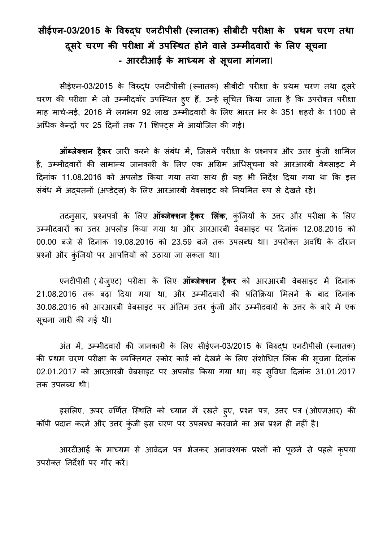## **सीईएन-03/2015 के विरुद्ध एनटीऩीसी (स्नातक) सीबीटी ऩरीऺा के प्रथम चरण तथा दसू रे चरण की ऩरीऺा मेंउऩस्स्थत होने िाऱे उम्मीदिारों के लऱए सच ू ना - आरटीआई के माध्यम से सच ू ना माांगना**।

सीईएन-03/2015 के विरुद्ध एनटीपीसी (स्नातक) सीबीटी परीक्षा के प्रथम चरण तथा दूसरे चरण की परीक्षा में जो उम्मीदवॉर उपस्थित हुए हैं, उन्हें सूचित किया जाता है कि उपरोक्त परीक्षा माह मार्च-मई, 2016 में लगभग 92 लाख उम्मीदवारों के लिए भारत भर के 351 शहरों के 1100 से अधिक केन्द्रों पर 25 दिनों तक 71 शिफ्टस में आयोजित की गई।

**ऑब्जेक्शन ट्रैकर** जारी करने के संबंध में, जिसमें परीक्षा के प्रश्नपत्र और उत्तर कुंजी शामिल है, उम्मीदवारों की सामान्य जानकारी के लिए एक अग्रिम अधिसूचना को आरआरबी वेबसाइट में दिनांक 11.08.2016 को अपलोड किया गया तथा साथ ही यह भी निर्देश दिया गया था कि इस संबंध में अदयतनों (अप्डेट्स) के लिए आरआरबी वेबसाइट को नियमित रूप से देखते रहें।

 तदनुसार, प्रश्नऩत्रों के लऱए **ऑब्जेक्शन ट्रैकर लऱांक**, कंुस्जयों के उत्तर और ऩरीऺा के लऱए उम्मीदवारों का उत्तर अपलोड किया गया था और आरआरबी वेबसाइट पर दिनांक 12.08.2016 को 00.00 बजे से दिनांक 19.08.2016 को 23.59 बजे तक उपलब्ध था। उपरोक्त अवधि के दौरान प्रश्नों और कुंजियों पर आपत्तियों को उठाया जा सकता था।

 एनटीऩीसी ( िेजुएट) ऩरीऺा के लऱए **ऑब्जेक्शन ट्रैकर** को आरआरबी िेबसाइट में ददनांक 21.08.2016 तक बढ़ा दिया गया था, और उम्मीदवारों की प्रतिक्रिया मिलने के बाद दिनांक 30.08.2016 को आरआरबी वेबसाइट पर अंतिम उत्तर कुंजी और उम्मीदवारों के उत्तर के बारे में एक सूचना जारी की गई थी।

अंत में, उम्मीदवारों की जानकारी के लिए सीईएन-03/2015 के विरुद्ध एनटीपीसी (स्नातक) की प्रथम चरण परीक्षा के व्यक्तिगत स्कोर कार्ड को देखने के लिए संशोधित लिंक की सूचना दिनांक 02.01.2017 को आरआरबी वेबसाइट पर अपलोड किया गया था। यह सुविधा दिनांक 31.01.2017 तक उऩऱब्ध थी।

इसलिए, ऊपर वर्णित स्थिति को ध्यान में रखते हुए, प्रश्न पत्र, उत्तर पत्र (ओएमआर) की कॉपी प्रदान करने और उत्तर कुंजी इस चरण पर उपलब्ध करवाने का अब प्रश्न ही नहीं है।

आरटीआई के माध्यम से आवेदन पत्र भेजकर अनावश्यक प्रश्नों को पूछने से पहले कृपया उपरोक्त निर्देशों पर गौर करें।